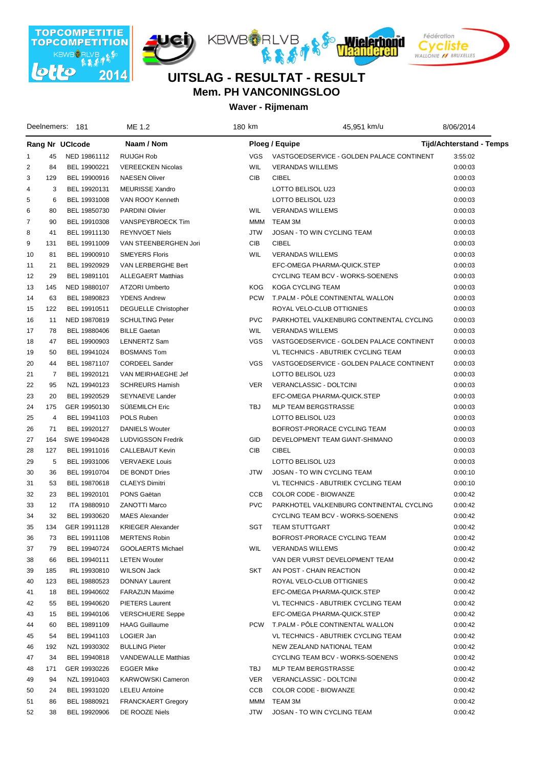







| Deelnemers: 181         |     |                 | ME 1.2                      | 180 km     | 45,951 km/u                               | 8/06/2014                       |
|-------------------------|-----|-----------------|-----------------------------|------------|-------------------------------------------|---------------------------------|
|                         |     | Rang Nr UCIcode | Naam / Nom                  |            | Ploeg / Equipe                            | <b>Tijd/Achterstand - Temps</b> |
| 1                       | 45  | NED 19861112    | <b>RUIJGH Rob</b>           | VGS.       | VASTGOEDSERVICE - GOLDEN PALACE CONTINENT | 3:55:02                         |
| $\overline{\mathbf{c}}$ | 84  | BEL 19900221    | <b>VEREECKEN Nicolas</b>    | <b>WIL</b> | <b>VERANDAS WILLEMS</b>                   | 0:00:03                         |
| 3                       | 129 | BEL 19900916    | <b>NAESEN Oliver</b>        | CIB        | <b>CIBEL</b>                              | 0:00:03                         |
| 4                       | 3   | BEL 19920131    | MEURISSE Xandro             |            | LOTTO BELISOL U23                         | 0:00:03                         |
| 5                       | 6   | BEL 19931008    | VAN ROOY Kenneth            |            | LOTTO BELISOL U23                         | 0:00:03                         |
| 6                       | 80  | BEL 19850730    | <b>PARDINI Olivier</b>      | WIL        | <b>VERANDAS WILLEMS</b>                   | 0:00:03                         |
| 7                       | 90  | BEL 19910308    | VANSPEYBROECK Tim           | <b>MMM</b> | TEAM 3M                                   | 0:00:03                         |
| 8                       | 41  | BEL 19911130    | <b>REYNVOET Niels</b>       | <b>JTW</b> | JOSAN - TO WIN CYCLING TEAM               | 0:00:03                         |
| 9                       | 131 | BEL 19911009    | VAN STEENBERGHEN Jori       | CIB        | <b>CIBEL</b>                              | 0:00:03                         |
| 10                      | 81  | BEL 19900910    | <b>SMEYERS Floris</b>       | <b>WIL</b> | <b>VERANDAS WILLEMS</b>                   | 0:00:03                         |
| 11                      | 21  | BEL 19920929    | VAN LERBERGHE Bert          |            | EFC-OMEGA PHARMA-QUICK.STEP               | 0:00:03                         |
| 12                      | 29  | BEL 19891101    | <b>ALLEGAERT Matthias</b>   |            | CYCLING TEAM BCV - WORKS-SOENENS          | 0:00:03                         |
| 13                      | 145 | NED 19880107    | ATZORI Umberto              | <b>KOG</b> | KOGA CYCLING TEAM                         | 0:00:03                         |
| 14                      | 63  | BEL 19890823    | <b>YDENS Andrew</b>         | <b>PCW</b> | T.PALM - PÖLE CONTINENTAL WALLON          | 0:00:03                         |
| 15                      | 122 | BEL 19910511    | <b>DEGUELLE Christopher</b> |            | ROYAL VELO-CLUB OTTIGNIES                 | 0:00:03                         |
| 16                      | 11  | NED 19870819    | <b>SCHULTING Peter</b>      | <b>PVC</b> | PARKHOTEL VALKENBURG CONTINENTAL CYCLING  | 0:00:03                         |
| 17                      | 78  | BEL 19880406    | <b>BILLE Gaetan</b>         | <b>WIL</b> | <b>VERANDAS WILLEMS</b>                   | 0:00:03                         |
| 18                      | 47  | BEL 19900903    | <b>LENNERTZ Sam</b>         | <b>VGS</b> | VASTGOEDSERVICE - GOLDEN PALACE CONTINENT | 0:00:03                         |
| 19                      | 50  | BEL 19941024    | <b>BOSMANS Tom</b>          |            | VL TECHNICS - ABUTRIEK CYCLING TEAM       | 0:00:03                         |
| 20                      | 44  | BEL 19871107    | <b>CORDEEL Sander</b>       | <b>VGS</b> | VASTGOEDSERVICE - GOLDEN PALACE CONTINENT | 0:00:03                         |
| 21                      | 7   | BEL 19920121    | VAN MEIRHAEGHE Jef          |            | LOTTO BELISOL U23                         | 0:00:03                         |
| 22                      | 95  | NZL 19940123    | <b>SCHREURS Hamish</b>      | VER.       | VERANCLASSIC - DOLTCINI                   | 0:00:03                         |
| 23                      | 20  | BEL 19920529    | SEYNAEVE Lander             |            | EFC-OMEGA PHARMA-QUICK.STEP               | 0:00:03                         |
| 24                      | 175 | GER 19950130    | <b>SUBEMILCH Eric</b>       | TBJ        | <b>MLP TEAM BERGSTRASSE</b>               | 0:00:03                         |
| 25                      | 4   | BEL 19941103    | POLS Ruben                  |            | LOTTO BELISOL U23                         | 0:00:03                         |
| 26                      | 71  | BEL 19920127    | <b>DANIELS Wouter</b>       |            | BOFROST-PRORACE CYCLING TEAM              | 0:00:03                         |
| 27                      | 164 | SWE 19940428    | <b>LUDVIGSSON Fredrik</b>   | GID        | DEVELOPMENT TEAM GIANT-SHIMANO            | 0:00:03                         |
| 28                      | 127 | BEL 19911016    | CALLEBAUT Kevin             | CIB        | <b>CIBEL</b>                              | 0:00:03                         |
| 29                      | 5   | BEL 19931006    | <b>VERVAEKE Louis</b>       |            | LOTTO BELISOL U23                         | 0:00:03                         |
| 30                      | 36  | BEL 19910704    | DE BONDT Dries              | <b>JTW</b> | JOSAN - TO WIN CYCLING TEAM               | 0:00:10                         |
| 31                      | 53  | BEL 19870618    | <b>CLAEYS Dimitri</b>       |            | VL TECHNICS - ABUTRIEK CYCLING TEAM       | 0:00:10                         |
| 32                      | 23  | BEL 19920101    | PONS Gaëtan                 | CCB        | COLOR CODE - BIOWANZE                     | 0:00:42                         |
| 33                      | 12  | ITA 19880910    | <b>ZANOTTI Marco</b>        | <b>PVC</b> | PARKHOTEL VALKENBURG CONTINENTAL CYCLING  | 0:00:42                         |
| 34                      | 32  | BEL 19930620    | <b>MAES Alexander</b>       |            | CYCLING TEAM BCV - WORKS-SOENENS          | 0:00:42                         |
| 35                      | 134 | GER 19911128    | <b>KRIEGER Alexander</b>    | SGT        | <b>TEAM STUTTGART</b>                     | 0:00:42                         |
| 36                      | 73  | BEL 19911108    | <b>MERTENS Robin</b>        |            | BOFROST-PRORACE CYCLING TEAM              | 0:00:42                         |
| 37                      | 79  | BEL 19940724    | GOOLAERTS Michael           | WIL        | <b>VERANDAS WILLEMS</b>                   | 0:00:42                         |
| 38                      | 66  | BEL 19940111    | <b>LETEN Wouter</b>         |            | VAN DER VURST DEVELOPMENT TEAM            | 0:00:42                         |
| 39                      | 185 | IRL 19930810    | <b>WILSON Jack</b>          | SKT        | AN POST - CHAIN REACTION                  | 0:00:42                         |
| 40                      | 123 | BEL 19880523    | DONNAY Laurent              |            | ROYAL VELO-CLUB OTTIGNIES                 | 0:00:42                         |
| 41                      | 18  | BEL 19940602    | <b>FARAZIJN Maxime</b>      |            | EFC-OMEGA PHARMA-QUICK.STEP               | 0:00:42                         |
| 42                      | 55  | BEL 19940620    | PIETERS Laurent             |            | VL TECHNICS - ABUTRIEK CYCLING TEAM       | 0:00:42                         |
| 43                      | 15  | BEL 19940106    | <b>VERSCHUERE Seppe</b>     |            | EFC-OMEGA PHARMA-QUICK.STEP               | 0:00:42                         |
| 44                      | 60  | BEL 19891109    | <b>HAAG Guillaume</b>       | <b>PCW</b> | T.PALM - PÔLE CONTINENTAL WALLON          | 0:00:42                         |
| 45                      | 54  | BEL 19941103    | LOGIER Jan                  |            | VL TECHNICS - ABUTRIEK CYCLING TEAM       | 0:00:42                         |
| 46                      | 192 | NZL 19930302    | <b>BULLING Pieter</b>       |            | NEW ZEALAND NATIONAL TEAM                 | 0:00:42                         |
| 47                      | 34  | BEL 19940818    | <b>VANDEWALLE Matthias</b>  |            | CYCLING TEAM BCV - WORKS-SOENENS          | 0:00:42                         |
| 48                      | 171 | GER 19930226    | <b>EGGER Mike</b>           | TBJ        | MLP TEAM BERGSTRASSE                      | 0:00:42                         |
| 49                      | 94  | NZL 19910403    | <b>KARWOWSKI Cameron</b>    | <b>VER</b> | VERANCLASSIC - DOLTCINI                   | 0:00:42                         |
| 50                      | 24  | BEL 19931020    | <b>LELEU Antoine</b>        | CCB        | COLOR CODE - BIOWANZE                     | 0:00:42                         |
| 51                      | 86  | BEL 19880921    | <b>FRANCKAERT Gregory</b>   | <b>MMM</b> | TEAM 3M                                   | 0:00:42                         |
| 52                      | 38  | BEL 19920906    | DE ROOZE Niels              | <b>JTW</b> | JOSAN - TO WIN CYCLING TEAM               | 0:00:42                         |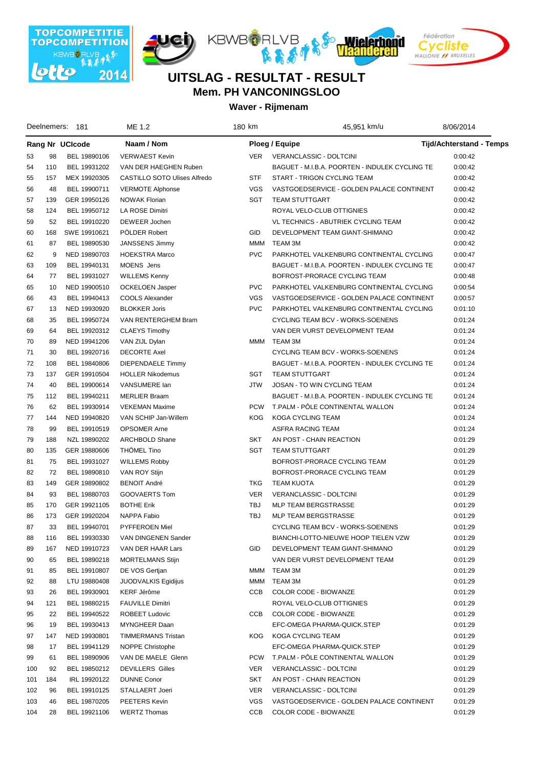







| Deelnemers: 181 |     |              | ME 1.2                       | 180 km     | 45,951 km/u                                    | 8/06/2014                       |  |  |
|-----------------|-----|--------------|------------------------------|------------|------------------------------------------------|---------------------------------|--|--|
| Rang Nr UCIcode |     |              | Naam / Nom                   |            | Ploeg / Equipe                                 | <b>Tijd/Achterstand - Temps</b> |  |  |
| 53              | 98  | BEL 19890106 | <b>VERWAEST Kevin</b>        | <b>VER</b> | VERANCLASSIC - DOLTCINI                        | 0:00:42                         |  |  |
| 54              | 110 | BEL 19931202 | VAN DER HAEGHEN Ruben        |            | BAGUET - M.I.B.A. POORTEN - INDULEK CYCLING TE | 0:00:42                         |  |  |
| 55              | 157 | MEX 19920305 | CASTILLO SOTO Ulises Alfredo | <b>STF</b> | START - TRIGON CYCLING TEAM                    | 0:00:42                         |  |  |
| 56              | 48  | BEL 19900711 | <b>VERMOTE Alphonse</b>      | <b>VGS</b> | VASTGOEDSERVICE - GOLDEN PALACE CONTINENT      | 0:00:42                         |  |  |
| 57              | 139 | GER 19950126 | <b>NOWAK Florian</b>         | SGT        | <b>TEAM STUTTGART</b>                          | 0:00:42                         |  |  |
| 58              | 124 | BEL 19950712 | LA ROSE Dimitri              |            | ROYAL VELO-CLUB OTTIGNIES                      | 0:00:42                         |  |  |
| 59              | 52  | BEL 19910220 | DEWEER Jochen                |            | VL TECHNICS - ABUTRIEK CYCLING TEAM            | 0:00:42                         |  |  |
| 60              | 168 | SWE 19910621 | PÖLDER Robert                | <b>GID</b> | DEVELOPMENT TEAM GIANT-SHIMANO                 | 0:00:42                         |  |  |
| 61              | 87  | BEL 19890530 | <b>JANSSENS Jimmy</b>        | MMM        | TEAM 3M                                        | 0:00:42                         |  |  |
| 62              | 9   | NED 19890703 | <b>HOEKSTRA Marco</b>        | <b>PVC</b> | PARKHOTEL VALKENBURG CONTINENTAL CYCLING       | 0:00:47                         |  |  |
| 63              | 109 | BEL 19940131 | MOENS Jens                   |            | BAGUET - M.I.B.A. POORTEN - INDULEK CYCLING TE | 0:00:47                         |  |  |
| 64              | 77  | BEL 19931027 | <b>WILLEMS Kenny</b>         |            | BOFROST-PRORACE CYCLING TEAM                   | 0:00:48                         |  |  |
| 65              | 10  | NED 19900510 | <b>OCKELOEN Jasper</b>       | <b>PVC</b> | PARKHOTEL VALKENBURG CONTINENTAL CYCLING       | 0:00:54                         |  |  |
| 66              | 43  | BEL 19940413 | COOLS Alexander              | <b>VGS</b> | VASTGOEDSERVICE - GOLDEN PALACE CONTINENT      | 0:00:57                         |  |  |
| 67              | 13  | NED 19930920 | <b>BLOKKER Joris</b>         | <b>PVC</b> | PARKHOTEL VALKENBURG CONTINENTAL CYCLING       | 0:01:10                         |  |  |
| 68              | 35  | BEL 19950724 | VAN RENTERGHEM Bram          |            | CYCLING TEAM BCV - WORKS-SOENENS               | 0:01:24                         |  |  |
| 69              | 64  | BEL 19920312 | <b>CLAEYS Timothy</b>        |            | VAN DER VURST DEVELOPMENT TEAM                 | 0:01:24                         |  |  |
| 70              | 89  | NED 19941206 | VAN ZIJL Dylan               |            | MMM TEAM 3M                                    | 0:01:24                         |  |  |
| 71              | 30  | BEL 19920716 | <b>DECORTE Axel</b>          |            | CYCLING TEAM BCV - WORKS-SOENENS               | 0:01:24                         |  |  |
| 72              | 108 | BEL 19840806 | <b>DIEPENDAELE Timmy</b>     |            | BAGUET - M.I.B.A. POORTEN - INDULEK CYCLING TE | 0:01:24                         |  |  |
| 73              | 137 | GER 19910504 | <b>HOLLER Nikodemus</b>      | SGT        | <b>TEAM STUTTGART</b>                          | 0:01:24                         |  |  |
| 74              | 40  | BEL 19900614 | VANSUMERE lan                | <b>JTW</b> | JOSAN - TO WIN CYCLING TEAM                    | 0:01:24                         |  |  |
| 75              | 112 | BEL 19940211 | <b>MERLIER Braam</b>         |            | BAGUET - M.I.B.A. POORTEN - INDULEK CYCLING TE | 0:01:24                         |  |  |
| 76              | 62  | BEL 19930914 | <b>VEKEMAN Maxime</b>        | <b>PCW</b> | T.PALM - PÖLE CONTINENTAL WALLON               | 0:01:24                         |  |  |
| 77              | 144 | NED 19940820 | VAN SCHIP Jan-Willem         | <b>KOG</b> | KOGA CYCLING TEAM                              | 0:01:24                         |  |  |
| 78              | 99  | BEL 19910519 | <b>OPSOMER Arne</b>          |            | ASFRA RACING TEAM                              | 0:01:24                         |  |  |
| 79              | 188 | NZL 19890202 | ARCHBOLD Shane               | SKT        | AN POST - CHAIN REACTION                       | 0:01:29                         |  |  |
| 80              | 135 | GER 19880606 | <b>THÖMEL Tino</b>           | SGT        | <b>TEAM STUTTGART</b>                          | 0:01:29                         |  |  |
| 81              | 75  | BEL 19931027 | <b>WILLEMS Robby</b>         |            | BOFROST-PRORACE CYCLING TEAM                   | 0:01:29                         |  |  |
| 82              | 72  | BEL 19890810 | VAN ROY Stijn                |            | BOFROST-PRORACE CYCLING TEAM                   | 0:01:29                         |  |  |
| 83              | 149 | GER 19890802 | <b>BENOIT André</b>          | TKG        | <b>TEAM KUOTA</b>                              | 0:01:29                         |  |  |
| 84              | 93  | BEL 19880703 | GOOVAERTS Tom                | <b>VER</b> | VERANCLASSIC - DOLTCINI                        | 0:01:29                         |  |  |
| 85              | 170 | GER 19921105 | <b>BOTHE Erik</b>            | <b>TBJ</b> | <b>MLP TEAM BERGSTRASSE</b>                    | 0:01:29                         |  |  |
| 86              | 173 | GER 19920204 | NAPPA Fabio                  | <b>TBJ</b> | MLP TEAM BERGSTRASSE                           | 0:01:29                         |  |  |
| 87              | 33  | BEL 19940701 | <b>PYFFEROEN Miel</b>        |            | CYCLING TEAM BCV - WORKS-SOENENS               | 0:01:29                         |  |  |
| 88              | 116 | BEL 19930330 | VAN DINGENEN Sander          |            | BIANCHI-LOTTO-NIEUWE HOOP TIELEN VZW           | 0:01:29                         |  |  |
| 89              | 167 | NED 19910723 | VAN DER HAAR Lars            | GID        | DEVELOPMENT TEAM GIANT-SHIMANO                 | 0:01:29                         |  |  |
| 90              | 65  | BEL 19890218 | <b>MORTELMANS Stijn</b>      |            | VAN DER VURST DEVELOPMENT TEAM                 | 0:01:29                         |  |  |
| 91              | 85  | BEL 19910807 | DE VOS Gertjan               | MMM        | TEAM 3M                                        | 0:01:29                         |  |  |
| 92              | 88  | LTU 19880408 | JUODVALKIS Egidijus          | <b>MMM</b> | TEAM 3M                                        | 0:01:29                         |  |  |
| 93              | 26  | BEL 19930901 | <b>KERF Jérôme</b>           | CCB        | COLOR CODE - BIOWANZE                          | 0:01:29                         |  |  |
| 94              | 121 | BEL 19880215 | <b>FAUVILLE Dimitri</b>      |            | ROYAL VELO-CLUB OTTIGNIES                      | 0:01:29                         |  |  |
| 95              | 22  | BEL 19940522 | ROBEET Ludovic               | CCB        | COLOR CODE - BIOWANZE                          | 0:01:29                         |  |  |
| 96              | 19  | BEL 19930413 | MYNGHEER Daan                |            | EFC-OMEGA PHARMA-QUICK.STEP                    | 0:01:29                         |  |  |
| 97              | 147 | NED 19930801 | TIMMERMANS Tristan           | KOG.       | KOGA CYCLING TEAM                              | 0:01:29                         |  |  |
| 98              | 17  | BEL 19941129 | <b>NOPPE Christophe</b>      |            | EFC-OMEGA PHARMA-QUICK.STEP                    | 0:01:29                         |  |  |
| 99              | 61  | BEL 19890906 | VAN DE MAELE Glenn           | <b>PCW</b> | T.PALM - PÔLE CONTINENTAL WALLON               | 0:01:29                         |  |  |
| 100             | 92  | BEL 19850212 | <b>DEVILLERS Gilles</b>      | <b>VER</b> | VERANCLASSIC - DOLTCINI                        | 0:01:29                         |  |  |
| 101             | 184 | IRL 19920122 | <b>DUNNE Conor</b>           | SKT        | AN POST - CHAIN REACTION                       | 0:01:29                         |  |  |
| 102             | 96  | BEL 19910125 | STALLAERT Joeri              | <b>VER</b> | VERANCLASSIC - DOLTCINI                        | 0:01:29                         |  |  |
| 103             | 46  | BEL 19870205 | PEETERS Kevin                | VGS        | VASTGOEDSERVICE - GOLDEN PALACE CONTINENT      | 0:01:29                         |  |  |
| 104             | 28  | BEL 19921106 | <b>WERTZ Thomas</b>          | <b>CCB</b> | COLOR CODE - BIOWANZE                          | 0:01:29                         |  |  |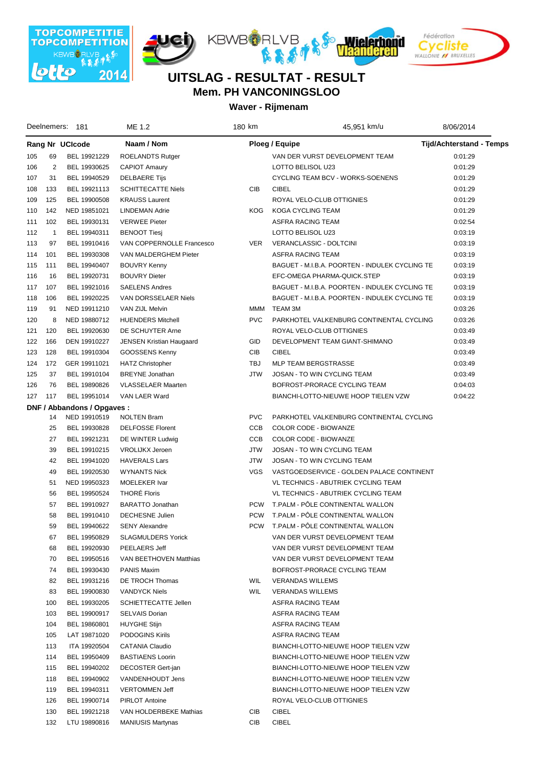







|     | Deelnemers:  | - 181                       | ME 1.2                    | 180 km     | 45,951 km/u                                    | 8/06/2014                |  |
|-----|--------------|-----------------------------|---------------------------|------------|------------------------------------------------|--------------------------|--|
|     |              | Rang Nr UCIcode             | Naam / Nom                |            | <b>Ploeg / Equipe</b>                          | Tijd/Achterstand - Temps |  |
| 105 | 69           | BEL 19921229                | ROELANDTS Rutger          |            | VAN DER VURST DEVELOPMENT TEAM                 | 0:01:29                  |  |
| 106 | 2            | BEL 19930625                | <b>CAPIOT Amaury</b>      |            | LOTTO BELISOL U23                              | 0:01:29                  |  |
| 107 | 31           | BEL 19940529                | <b>DELBAERE Tijs</b>      |            | CYCLING TEAM BCV - WORKS-SOENENS               | 0:01:29                  |  |
| 108 | 133          | BEL 19921113                | <b>SCHITTECATTE Niels</b> | <b>CIB</b> | <b>CIBEL</b>                                   | 0:01:29                  |  |
| 109 | 125          | BEL 19900508                | <b>KRAUSS Laurent</b>     |            | ROYAL VELO-CLUB OTTIGNIES                      | 0:01:29                  |  |
| 110 | 142          | NED 19851021                | <b>LINDEMAN Adrie</b>     | <b>KOG</b> | <b>KOGA CYCLING TEAM</b>                       | 0:01:29                  |  |
| 111 | 102          | BEL 19930131                | <b>VERWEE Pieter</b>      |            | ASFRA RACING TEAM                              | 0:02:54                  |  |
| 112 | $\mathbf{1}$ | BEL 19940311                | <b>BENOOT Tiesi</b>       |            | LOTTO BELISOL U23                              | 0:03:19                  |  |
| 113 | 97           | BEL 19910416                | VAN COPPERNOLLE Francesco | <b>VER</b> | VERANCLASSIC - DOLTCINI                        | 0:03:19                  |  |
| 114 | 101          | BEL 19930308                | VAN MALDERGHEM Pieter     |            | <b>ASFRA RACING TEAM</b>                       | 0:03:19                  |  |
| 115 | 111          | BEL 19940407                | <b>BOUVRY Kenny</b>       |            | BAGUET - M.I.B.A. POORTEN - INDULEK CYCLING TE | 0:03:19                  |  |
| 116 | 16           | BEL 19920731                | <b>BOUVRY Dieter</b>      |            | EFC-OMEGA PHARMA-QUICK.STEP                    | 0:03:19                  |  |
| 117 | 107          | BEL 19921016                | <b>SAELENS Andres</b>     |            | BAGUET - M.I.B.A. POORTEN - INDULEK CYCLING TE | 0:03:19                  |  |
| 118 | 106          | BEL 19920225                | VAN DORSSELAER Niels      |            | BAGUET - M.I.B.A. POORTEN - INDULEK CYCLING TE | 0:03:19                  |  |
| 119 | 91           | NED 19911210                | VAN ZIJL Melvin           | MMM        | TEAM 3M                                        | 0:03:26                  |  |
| 120 | 8            | NED 19880712                | <b>HUENDERS Mitchell</b>  | <b>PVC</b> | PARKHOTEL VALKENBURG CONTINENTAL CYCLING       | 0:03:26                  |  |
| 121 | 120          | BEL 19920630                | DE SCHUYTER Arne          |            | ROYAL VELO-CLUB OTTIGNIES                      | 0:03:49                  |  |
| 122 | 166          | DEN 19910227                | JENSEN Kristian Haugaard  | GID        | DEVELOPMENT TEAM GIANT-SHIMANO                 | 0:03:49                  |  |
| 123 | 128          | BEL 19910304                | GOOSSENS Kenny            | <b>CIB</b> | <b>CIBEL</b>                                   | 0:03:49                  |  |
| 124 | 172          | GER 19911021                | <b>HATZ Christopher</b>   | TBJ        | MLP TEAM BERGSTRASSE                           | 0:03:49                  |  |
| 125 | 37           | BEL 19910104                | <b>BREYNE</b> Jonathan    | <b>JTW</b> | JOSAN - TO WIN CYCLING TEAM                    | 0:03:49                  |  |
| 126 | 76           | BEL 19890826                | <b>VLASSELAER Maarten</b> |            | BOFROST-PRORACE CYCLING TEAM                   | 0:04:03                  |  |
| 127 | 117          | BEL 19951014                | VAN LAER Ward             |            | BIANCHI-LOTTO-NIEUWE HOOP TIELEN VZW           | 0:04:22                  |  |
|     |              | DNF / Abbandons / Opgaves : |                           |            |                                                |                          |  |
|     | 14           | NED 19910519                | <b>NOLTEN Bram</b>        | <b>PVC</b> | PARKHOTEL VALKENBURG CONTINENTAL CYCLING       |                          |  |
|     | 25           | BEL 19930828                | <b>DELFOSSE Florent</b>   | CCB        | COLOR CODE - BIOWANZE                          |                          |  |
|     | 27           | BEL 19921231                | DE WINTER Ludwig          | CCB        | COLOR CODE - BIOWANZE                          |                          |  |
|     | 39           | BEL 19910215                | <b>VROLIJKX Jeroen</b>    | <b>JTW</b> | JOSAN - TO WIN CYCLING TEAM                    |                          |  |
|     | 42           | BEL 19941020                | <b>HAVERALS Lars</b>      | <b>JTW</b> | JOSAN - TO WIN CYCLING TEAM                    |                          |  |
|     | 49           | BEL 19920530                | <b>WYNANTS Nick</b>       | <b>VGS</b> | VASTGOEDSERVICE - GOLDEN PALACE CONTINENT      |                          |  |
|     | 51           | NED 19950323                | <b>MOELEKER Ivar</b>      |            | <b>VL TECHNICS - ABUTRIEK CYCLING TEAM</b>     |                          |  |
|     | 56           | BEL 19950524                | <b>THORE Floris</b>       |            | VL TECHNICS - ABUTRIEK CYCLING TEAM            |                          |  |
|     | 57           | BEL 19910927                | BARATTO Jonathan          | <b>PCW</b> | T.PALM - PÔLE CONTINENTAL WALLON               |                          |  |
|     | 58           | BEL 19910410                | <b>DECHESNE Julien</b>    | <b>PCW</b> | T.PALM - PÖLE CONTINENTAL WALLON               |                          |  |
|     | 59           | BEL 19940622                | <b>SENY Alexandre</b>     | <b>PCW</b> | T.PALM - PÖLE CONTINENTAL WALLON               |                          |  |
|     | 67           | BEL 19950829                | <b>SLAGMULDERS Yorick</b> |            | VAN DER VURST DEVELOPMENT TEAM                 |                          |  |
|     | 68           | BEL 19920930                | PEELAERS Jeff             |            | VAN DER VURST DEVELOPMENT TEAM                 |                          |  |
|     | 70           | BEL 19950516                | VAN BEETHOVEN Matthias    |            | VAN DER VURST DEVELOPMENT TEAM                 |                          |  |
|     | 74           | BEL 19930430                | PANIS Maxim               |            | BOFROST-PRORACE CYCLING TEAM                   |                          |  |
|     | 82           | BEL 19931216                | DE TROCH Thomas           | WIL        | <b>VERANDAS WILLEMS</b>                        |                          |  |
|     | 83           | BEL 19900830                | <b>VANDYCK Niels</b>      | <b>WIL</b> | <b>VERANDAS WILLEMS</b>                        |                          |  |
|     | 100          | BEL 19930205                | SCHIETTECATTE Jellen      |            | ASFRA RACING TEAM                              |                          |  |
|     | 103          | BEL 19900917                | <b>SELVAIS Dorian</b>     |            | ASFRA RACING TEAM                              |                          |  |
|     | 104          | BEL 19860801                | <b>HUYGHE Stijn</b>       |            | ASFRA RACING TEAM                              |                          |  |
|     | 105          | LAT 19871020                | PODOGINS Kirils           |            | ASFRA RACING TEAM                              |                          |  |
|     | 113          | ITA 19920504                | CATANIA Claudio           |            | BIANCHI-LOTTO-NIEUWE HOOP TIELEN VZW           |                          |  |
|     | 114          | BEL 19950409                | <b>BASTIAENS Loorin</b>   |            | BIANCHI-LOTTO-NIEUWE HOOP TIELEN VZW           |                          |  |
|     | 115          | BEL 19940202                | DECOSTER Gert-jan         |            | BIANCHI-LOTTO-NIEUWE HOOP TIELEN VZW           |                          |  |
|     | 118          | BEL 19940902                | VANDENHOUDT Jens          |            | BIANCHI-LOTTO-NIEUWE HOOP TIELEN VZW           |                          |  |
|     | 119          | BEL 19940311                | <b>VERTOMMEN Jeff</b>     |            | BIANCHI-LOTTO-NIEUWE HOOP TIELEN VZW           |                          |  |
|     | 126          | BEL 19900714                | <b>PIRLOT Antoine</b>     |            | ROYAL VELO-CLUB OTTIGNIES                      |                          |  |
|     | 130          | BEL 19921218                | VAN HOLDERBEKE Mathias    | CIB        | <b>CIBEL</b>                                   |                          |  |
|     | 132          | LTU 19890816                | <b>MANIUSIS Martynas</b>  | CIB        | <b>CIBEL</b>                                   |                          |  |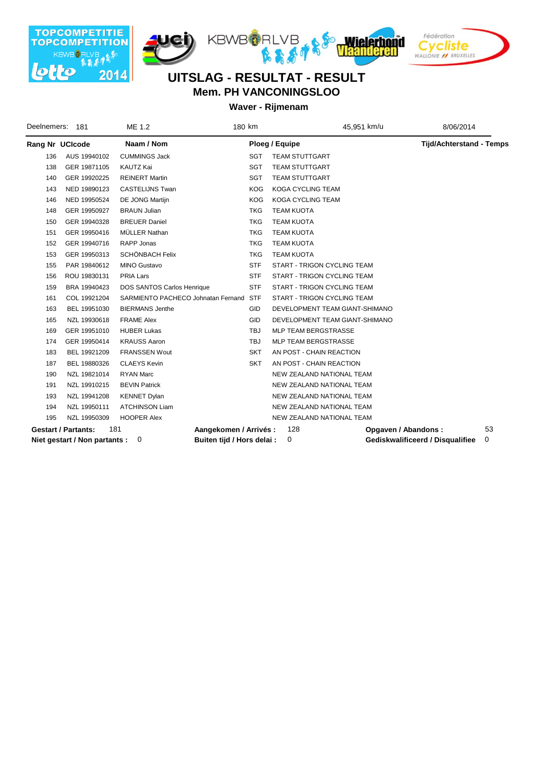







| Deelnemers: | 181                           | ME 1.2                             | 180 km     | 45,951 km/u                        | 8/06/2014                        |    |
|-------------|-------------------------------|------------------------------------|------------|------------------------------------|----------------------------------|----|
|             | Rang Nr UCIcode               | Naam / Nom                         |            | Ploeg / Equipe                     | <b>Tijd/Achterstand - Temps</b>  |    |
| 136         | AUS 19940102                  | <b>CUMMINGS Jack</b>               | <b>SGT</b> | <b>TEAM STUTTGART</b>              |                                  |    |
| 138         | GER 19871105                  | KAUTZ Kai                          | <b>SGT</b> | <b>TEAM STUTTGART</b>              |                                  |    |
| 140         | GER 19920225                  | <b>REINERT Martin</b>              | <b>SGT</b> | <b>TEAM STUTTGART</b>              |                                  |    |
| 143         | NED 19890123                  | CASTELIJNS Twan                    | <b>KOG</b> | KOGA CYCLING TEAM                  |                                  |    |
| 146         | NED 19950524                  | DE JONG Martijn                    | <b>KOG</b> | <b>KOGA CYCLING TEAM</b>           |                                  |    |
| 148         | GER 19950927                  | <b>BRAUN Julian</b>                | <b>TKG</b> | <b>TEAM KUOTA</b>                  |                                  |    |
| 150         | GER 19940328                  | <b>BREUER Daniel</b>               | <b>TKG</b> | <b>TEAM KUOTA</b>                  |                                  |    |
| 151         | GER 19950416                  | MÜLLER Nathan                      | <b>TKG</b> | <b>TEAM KUOTA</b>                  |                                  |    |
| 152         | GER 19940716                  | RAPP Jonas                         | <b>TKG</b> | <b>TEAM KUOTA</b>                  |                                  |    |
| 153         | GER 19950313                  | SCHÖNBACH Felix                    | <b>TKG</b> | <b>TEAM KUOTA</b>                  |                                  |    |
| 155         | PAR 19840612                  | <b>MINO Gustavo</b>                | <b>STF</b> | <b>START - TRIGON CYCLING TEAM</b> |                                  |    |
| 156         | ROU 19830131                  | PRIA Lars                          | <b>STF</b> | START - TRIGON CYCLING TEAM        |                                  |    |
| 159         | BRA 19940423                  | DOS SANTOS Carlos Henrique         | <b>STF</b> | START - TRIGON CYCLING TEAM        |                                  |    |
| 161         | COL 19921204                  | SARMIENTO PACHECO Johnatan Fernand | <b>STF</b> | <b>START - TRIGON CYCLING TEAM</b> |                                  |    |
| 163         | BEL 19951030                  | <b>BIERMANS Jenthe</b>             | <b>GID</b> | DEVELOPMENT TEAM GIANT-SHIMANO     |                                  |    |
| 165         | NZL 19930618                  | <b>FRAME Alex</b>                  | <b>GID</b> | DEVELOPMENT TEAM GIANT-SHIMANO     |                                  |    |
| 169         | GER 19951010                  | <b>HUBER Lukas</b>                 | TBJ        | MLP TEAM BERGSTRASSE               |                                  |    |
| 174         | GER 19950414                  | <b>KRAUSS Aaron</b>                | <b>TBJ</b> | <b>MLP TEAM BERGSTRASSE</b>        |                                  |    |
| 183         | BEL 19921209                  | <b>FRANSSEN Wout</b>               | <b>SKT</b> | AN POST - CHAIN REACTION           |                                  |    |
| 187         | BEL 19880326                  | <b>CLAEYS Kevin</b>                | <b>SKT</b> | AN POST - CHAIN REACTION           |                                  |    |
| 190         | NZL 19821014                  | <b>RYAN Marc</b>                   |            | NEW ZEALAND NATIONAL TEAM          |                                  |    |
| 191         | NZL 19910215                  | <b>BEVIN Patrick</b>               |            | NEW ZEALAND NATIONAL TEAM          |                                  |    |
| 193         | NZL 19941208                  | <b>KENNET Dylan</b>                |            | NEW ZEALAND NATIONAL TEAM          |                                  |    |
| 194         | NZL 19950111                  | <b>ATCHINSON Liam</b>              |            | NEW ZEALAND NATIONAL TEAM          |                                  |    |
| 195         | NZL 19950309                  | <b>HOOPER Alex</b>                 |            | NEW ZEALAND NATIONAL TEAM          |                                  |    |
|             | <b>Gestart / Partants:</b>    | 181<br>Aangekomen / Arrivés:       |            | 128<br>Opgaven / Abandons:         |                                  | 53 |
|             | Niet gestart / Non partants : | Buiten tijd / Hors delai :<br>0    |            | 0                                  | Gediskwalificeerd / Disqualifiee | 0  |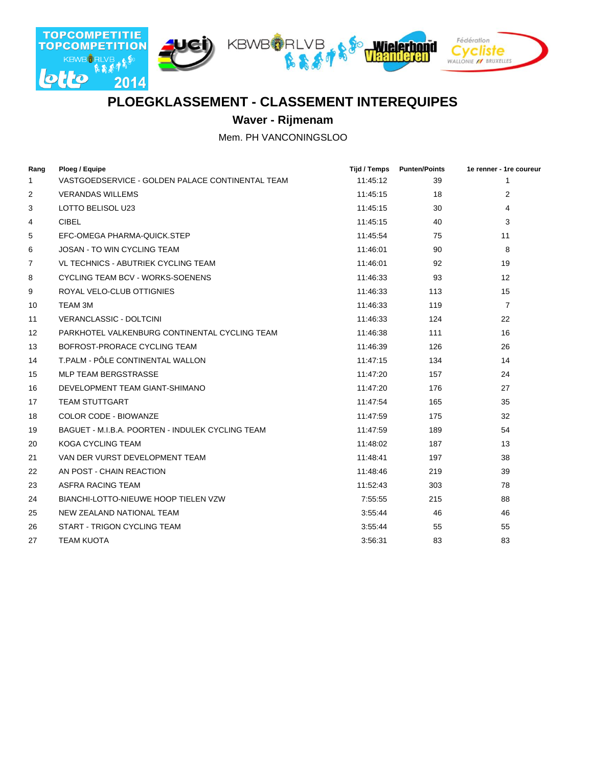

## **PLOEGKLASSEMENT - CLASSEMENT INTEREQUIPES**

**Waver - Rijmenam**

Mem. PH VANCONINGSLOO

| Rang           | Ploeg / Equipe                                   | Tijd / Temps | <b>Punten/Points</b> | 1e renner - 1re coureur |
|----------------|--------------------------------------------------|--------------|----------------------|-------------------------|
| 1              | VASTGOEDSERVICE - GOLDEN PALACE CONTINENTAL TEAM | 11:45:12     | 39                   | 1                       |
| 2              | <b>VERANDAS WILLEMS</b>                          | 11:45:15     | 18                   | 2                       |
| 3              | LOTTO BELISOL U23                                | 11:45:15     | 30                   | 4                       |
| 4              | <b>CIBEL</b>                                     | 11:45:15     | 40                   | 3                       |
| 5              | EFC-OMEGA PHARMA-QUICK.STEP                      | 11:45:54     | 75                   | 11                      |
| 6              | <b>JOSAN - TO WIN CYCLING TEAM</b>               | 11:46:01     | 90                   | 8                       |
| $\overline{7}$ | <b>VL TECHNICS - ABUTRIEK CYCLING TEAM</b>       | 11:46:01     | 92                   | 19                      |
| 8              | CYCLING TEAM BCV - WORKS-SOENENS                 | 11:46:33     | 93                   | 12                      |
| 9              | ROYAL VELO-CLUB OTTIGNIES                        | 11:46:33     | 113                  | 15                      |
| 10             | TEAM 3M                                          | 11:46:33     | 119                  | $\overline{7}$          |
| 11             | VERANCLASSIC - DOLTCINI                          | 11:46:33     | 124                  | 22                      |
| 12             | PARKHOTEL VALKENBURG CONTINENTAL CYCLING TEAM    | 11:46:38     | 111                  | 16                      |
| 13             | BOFROST-PRORACE CYCLING TEAM                     | 11:46:39     | 126                  | 26                      |
| 14             | T.PALM - PÔLE CONTINENTAL WALLON                 | 11:47:15     | 134                  | 14                      |
| 15             | <b>MLP TEAM BERGSTRASSE</b>                      | 11:47:20     | 157                  | 24                      |
| 16             | DEVELOPMENT TEAM GIANT-SHIMANO                   | 11:47:20     | 176                  | 27                      |
| 17             | <b>TEAM STUTTGART</b>                            | 11:47:54     | 165                  | 35                      |
| 18             | COLOR CODE - BIOWANZE                            | 11:47:59     | 175                  | 32                      |
| 19             | BAGUET - M.I.B.A. POORTEN - INDULEK CYCLING TEAM | 11:47:59     | 189                  | 54                      |
| 20             | <b>KOGA CYCLING TEAM</b>                         | 11:48:02     | 187                  | 13                      |
| 21             | VAN DER VURST DEVELOPMENT TEAM                   | 11:48:41     | 197                  | 38                      |
| 22             | AN POST - CHAIN REACTION                         | 11:48:46     | 219                  | 39                      |
| 23             | ASFRA RACING TEAM                                | 11:52:43     | 303                  | 78                      |
| 24             | BIANCHI-LOTTO-NIEUWE HOOP TIELEN VZW             | 7:55:55      | 215                  | 88                      |
| 25             | NEW ZEALAND NATIONAL TEAM                        | 3:55:44      | 46                   | 46                      |
| 26             | START - TRIGON CYCLING TEAM                      | 3:55:44      | 55                   | 55                      |
| 27             | <b>TEAM KUOTA</b>                                | 3:56:31      | 83                   | 83                      |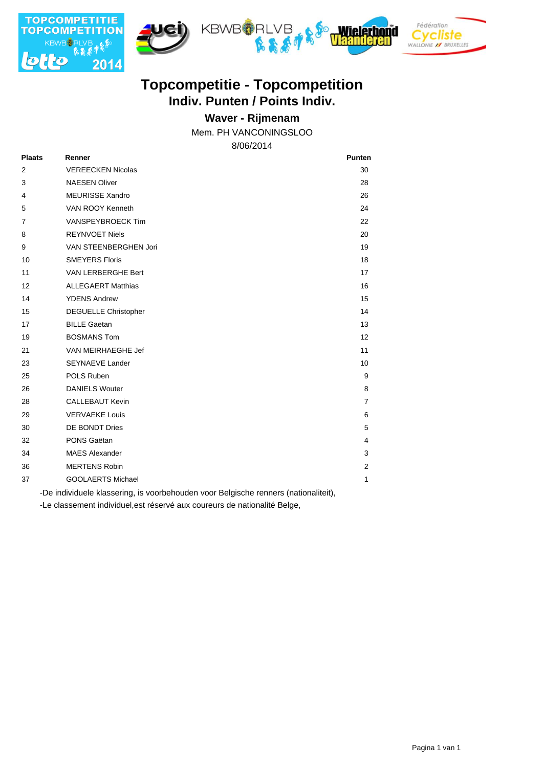

# **Indiv. Punten / Points Indiv. Topcompetitie - Topcompetition**

### **Waver - Rijmenam**

Mem. PH VANCONINGSLOO

8/06/2014

| <b>Plaats</b>  | Renner                      | <b>Punten</b>  |
|----------------|-----------------------------|----------------|
| $\overline{2}$ | <b>VEREECKEN Nicolas</b>    | 30             |
| 3              | <b>NAESEN Oliver</b>        | 28             |
| 4              | <b>MEURISSE Xandro</b>      | 26             |
| 5              | VAN ROOY Kenneth            | 24             |
| $\overline{7}$ | VANSPEYBROECK Tim           | 22             |
| 8              | <b>REYNVOET Niels</b>       | 20             |
| 9              | VAN STEENBERGHEN Jori       | 19             |
| 10             | <b>SMEYERS Floris</b>       | 18             |
| 11             | VAN LERBERGHE Bert          | 17             |
| 12             | <b>ALLEGAERT Matthias</b>   | 16             |
| 14             | <b>YDENS Andrew</b>         | 15             |
| 15             | <b>DEGUELLE Christopher</b> | 14             |
| 17             | <b>BILLE Gaetan</b>         | 13             |
| 19             | <b>BOSMANS Tom</b>          | 12             |
| 21             | VAN MEIRHAEGHE Jef          | 11             |
| 23             | <b>SEYNAEVE Lander</b>      | 10             |
| 25             | POLS Ruben                  | 9              |
| 26             | <b>DANIELS Wouter</b>       | 8              |
| 28             | <b>CALLEBAUT Kevin</b>      | $\overline{7}$ |
| 29             | <b>VERVAEKE Louis</b>       | 6              |
| 30             | DE BONDT Dries              | 5              |
| 32             | PONS Gaëtan                 | 4              |
| 34             | <b>MAES Alexander</b>       | 3              |
| 36             | <b>MERTENS Robin</b>        | $\overline{2}$ |
| 37             | <b>GOOLAERTS Michael</b>    | 1              |

-De individuele klassering, is voorbehouden voor Belgische renners (nationaliteit),

-Le classement individuel,est réservé aux coureurs de nationalité Belge,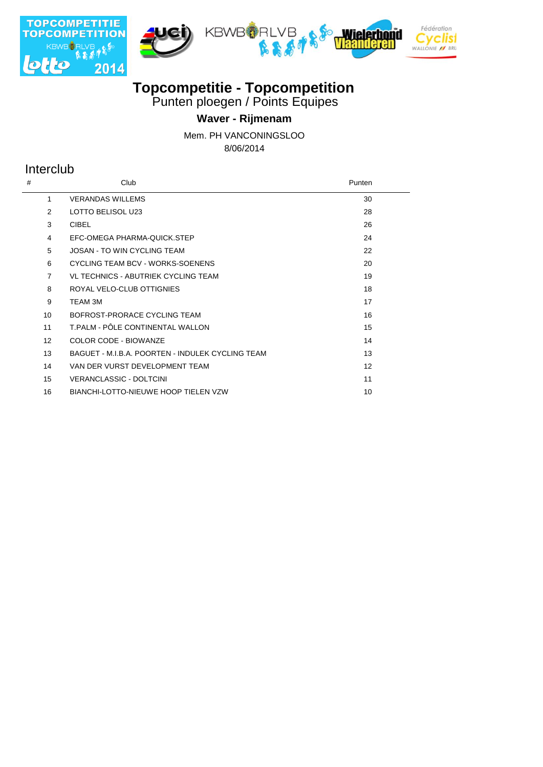







## **Topcompetitie - Topcompetition**

Punten ploegen / Points Equipes

## **Waver - Rijmenam**

Mem. PH VANCONINGSLOO

8/06/2014

## Interclub

 $\overline{a}$ 

| #                 | Club                                             | Punten |
|-------------------|--------------------------------------------------|--------|
| 1                 | <b>VERANDAS WILLEMS</b>                          | 30     |
| 2                 | LOTTO BELISOL U23                                | 28     |
| 3                 | <b>CIBEL</b>                                     | 26     |
| 4                 | EFC-OMEGA PHARMA-QUICK.STEP                      | 24     |
| 5                 | <b>JOSAN - TO WIN CYCLING TEAM</b>               | 22     |
| 6                 | CYCLING TEAM BCV - WORKS-SOENENS                 | 20     |
| $\overline{7}$    | VL TECHNICS - ABUTRIEK CYCLING TEAM              | 19     |
| 8                 | ROYAL VELO-CLUB OTTIGNIES                        | 18     |
| 9                 | TEAM 3M                                          | 17     |
| 10                | BOFROST-PRORACE CYCLING TEAM                     | 16     |
| 11                | T.PALM - PÔLE CONTINENTAL WALLON                 | 15     |
| $12 \overline{ }$ | COLOR CODE - BIOWANZE                            | 14     |
| 13                | BAGUET - M.I.B.A. POORTEN - INDULEK CYCLING TEAM | 13     |
| 14                | VAN DER VURST DEVELOPMENT TEAM                   | 12     |
| 15                | <b>VERANCLASSIC - DOLTCINI</b>                   | 11     |
| 16                | <b>BIANCHI-LOTTO-NIEUWE HOOP TIELEN VZW</b>      | 10     |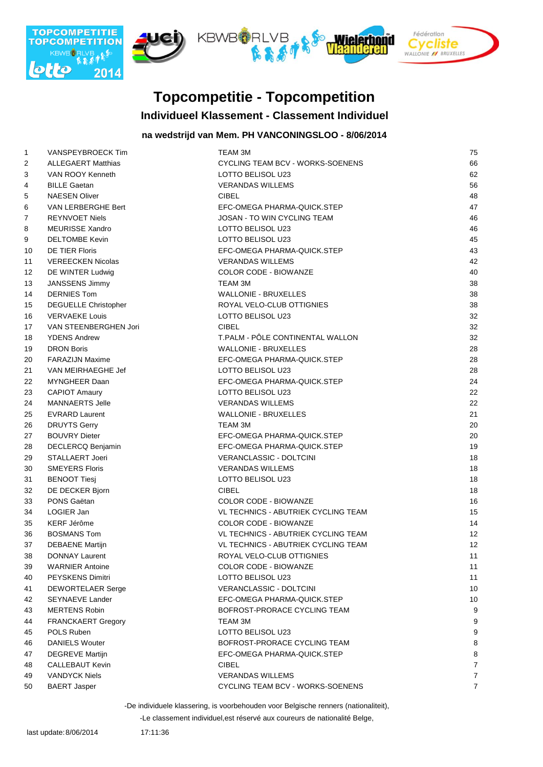

# **Topcompetitie - Topcompetition**

#### **Individueel Klassement - Classement Individuel**

#### **na wedstrijd van Mem. PH VANCONINGSLOO - 8/06/2014**

|                   | VANSPEYBROECK Tim           | <b>TEAM 3M</b>                             | 75             |
|-------------------|-----------------------------|--------------------------------------------|----------------|
| $\mathbf{1}$<br>2 | <b>ALLEGAERT Matthias</b>   | CYCLING TEAM BCV - WORKS-SOENENS           | 66             |
| 3                 | VAN ROOY Kenneth            | LOTTO BELISOL U23                          | 62             |
| 4                 | <b>BILLE Gaetan</b>         | <b>VERANDAS WILLEMS</b>                    | 56             |
|                   | <b>NAESEN Oliver</b>        | <b>CIBEL</b>                               | 48             |
| 5                 |                             |                                            | 47             |
| 6                 | VAN LERBERGHE Bert          | EFC-OMEGA PHARMA-QUICK.STEP                |                |
| 7                 | <b>REYNVOET Niels</b>       | JOSAN - TO WIN CYCLING TEAM                | 46<br>46       |
| 8                 | <b>MEURISSE Xandro</b>      | LOTTO BELISOL U23                          |                |
| 9                 | <b>DELTOMBE Kevin</b>       | LOTTO BELISOL U23                          | 45             |
| 10                | <b>DE TIER Floris</b>       | EFC-OMEGA PHARMA-QUICK.STEP                | 43             |
| 11                | <b>VEREECKEN Nicolas</b>    | <b>VERANDAS WILLEMS</b>                    | 42             |
| 12                | DE WINTER Ludwig            | <b>COLOR CODE - BIOWANZE</b>               | 40             |
| 13                | JANSSENS Jimmy              | <b>TEAM 3M</b>                             | 38             |
| 14                | <b>DERNIES Tom</b>          | <b>WALLONIE - BRUXELLES</b>                | 38             |
| 15                | <b>DEGUELLE Christopher</b> | ROYAL VELO-CLUB OTTIGNIES                  | 38             |
| 16                | <b>VERVAEKE Louis</b>       | LOTTO BELISOL U23                          | 32             |
| 17                | VAN STEENBERGHEN Jori       | <b>CIBEL</b>                               | 32             |
| 18                | <b>YDENS Andrew</b>         | T.PALM - PÔLE CONTINENTAL WALLON           | 32             |
| 19                | <b>DRON Boris</b>           | <b>WALLONIE - BRUXELLES</b>                | 28             |
| 20                | <b>FARAZIJN Maxime</b>      | EFC-OMEGA PHARMA-QUICK.STEP                | 28             |
| 21                | VAN MEIRHAEGHE Jef          | LOTTO BELISOL U23                          | 28             |
| 22                | MYNGHEER Daan               | EFC-OMEGA PHARMA-QUICK.STEP                | 24             |
| 23                | <b>CAPIOT Amaury</b>        | LOTTO BELISOL U23                          | 22             |
| 24                | <b>MANNAERTS Jelle</b>      | <b>VERANDAS WILLEMS</b>                    | 22             |
| 25                | <b>EVRARD Laurent</b>       | <b>WALLONIE - BRUXELLES</b>                | 21             |
| 26                | <b>DRUYTS Gerry</b>         | TEAM 3M                                    | 20             |
| 27                | <b>BOUVRY Dieter</b>        | EFC-OMEGA PHARMA-QUICK.STEP                | 20             |
| 28                | DECLERCQ Benjamin           | EFC-OMEGA PHARMA-QUICK.STEP                | 19             |
| 29                | STALLAERT Joeri             | VERANCLASSIC - DOLTCINI                    | 18             |
| 30                | <b>SMEYERS Floris</b>       | <b>VERANDAS WILLEMS</b>                    | 18             |
| 31                | <b>BENOOT Tiesj</b>         | LOTTO BELISOL U23                          | 18             |
| 32                | DE DECKER Bjorn             | <b>CIBEL</b>                               | 18             |
| 33                | PONS Gaëtan                 | COLOR CODE - BIOWANZE                      | 16             |
| 34                | LOGIER Jan                  | VL TECHNICS - ABUTRIEK CYCLING TEAM        | 15             |
| 35                | <b>KERF Jérôme</b>          | COLOR CODE - BIOWANZE                      | 14             |
| 36                | <b>BOSMANS Tom</b>          | VL TECHNICS - ABUTRIEK CYCLING TEAM        | 12             |
| 37                | <b>DEBAENE Martijn</b>      | <b>VL TECHNICS - ABUTRIEK CYCLING TEAM</b> | 12             |
| 38                | <b>DONNAY Laurent</b>       | ROYAL VELO-CLUB OTTIGNIES                  | 11             |
| 39                | <b>WARNIER Antoine</b>      | COLOR CODE - BIOWANZE                      | 11             |
| 40                | <b>PEYSKENS Dimitri</b>     | LOTTO BELISOL U23                          | 11             |
| 41                | DEWORTELAER Serge           | <b>VERANCLASSIC - DOLTCINI</b>             | 10             |
| 42                | <b>SEYNAEVE Lander</b>      | EFC-OMEGA PHARMA-QUICK.STEP                | 10             |
| 43                | <b>MERTENS Robin</b>        | BOFROST-PRORACE CYCLING TEAM               | 9              |
| 44                | FRANCKAERT Gregory          | TEAM 3M                                    | 9              |
| 45                | POLS Ruben                  | LOTTO BELISOL U23                          | 9              |
| 46                | <b>DANIELS Wouter</b>       | BOFROST-PRORACE CYCLING TEAM               | 8              |
| 47                | <b>DEGREVE Martijn</b>      | EFC-OMEGA PHARMA-QUICK.STEP                | 8              |
| 48                | <b>CALLEBAUT Kevin</b>      | <b>CIBEL</b>                               | $\overline{7}$ |
| 49                | <b>VANDYCK Niels</b>        | <b>VERANDAS WILLEMS</b>                    | $\overline{7}$ |
| 50                | <b>BAERT Jasper</b>         | CYCLING TEAM BCV - WORKS-SOENENS           | $\overline{7}$ |
|                   |                             |                                            |                |

-De individuele klassering, is voorbehouden voor Belgische renners (nationaliteit),

-Le classement individuel,est réservé aux coureurs de nationalité Belge,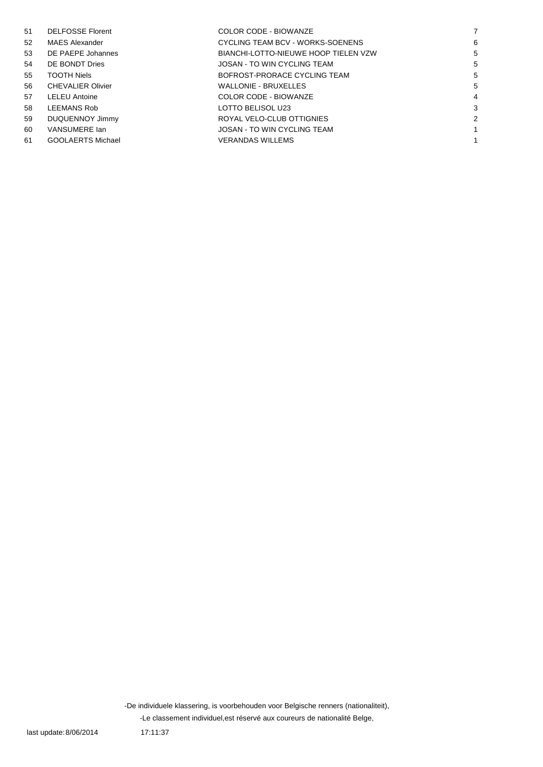| 51 | <b>DELFOSSE Florent</b>  | COLOR CODE - BIOWANZE                |   |
|----|--------------------------|--------------------------------------|---|
| 52 | <b>MAES Alexander</b>    | CYCLING TEAM BCV - WORKS-SOENENS     | 6 |
| 53 | DE PAEPE Johannes        | BIANCHI-LOTTO-NIEUWE HOOP TIELEN VZW | 5 |
| 54 | DE BONDT Dries           | JOSAN - TO WIN CYCLING TEAM          | 5 |
| 55 | <b>TOOTH Niels</b>       | BOFROST-PRORACE CYCLING TEAM         | 5 |
| 56 | <b>CHEVALIER Olivier</b> | <b>WALLONIE - BRUXELLES</b>          | 5 |
| 57 | <b>LELEU Antoine</b>     | COLOR CODE - BIOWANZE                | 4 |
| 58 | LEEMANS Rob              | LOTTO BELISOL U23                    | З |
| 59 | DUQUENNOY Jimmy          | ROYAL VELO-CLUB OTTIGNIES            | 2 |
| 60 | VANSUMERE lan            | JOSAN - TO WIN CYCLING TEAM          |   |
| 61 | <b>GOOLAERTS Michael</b> | <b>VERANDAS WILLEMS</b>              |   |

-Le classement individuel,est réservé aux coureurs de nationalité Belge, -De individuele klassering, is voorbehouden voor Belgische renners (nationaliteit),